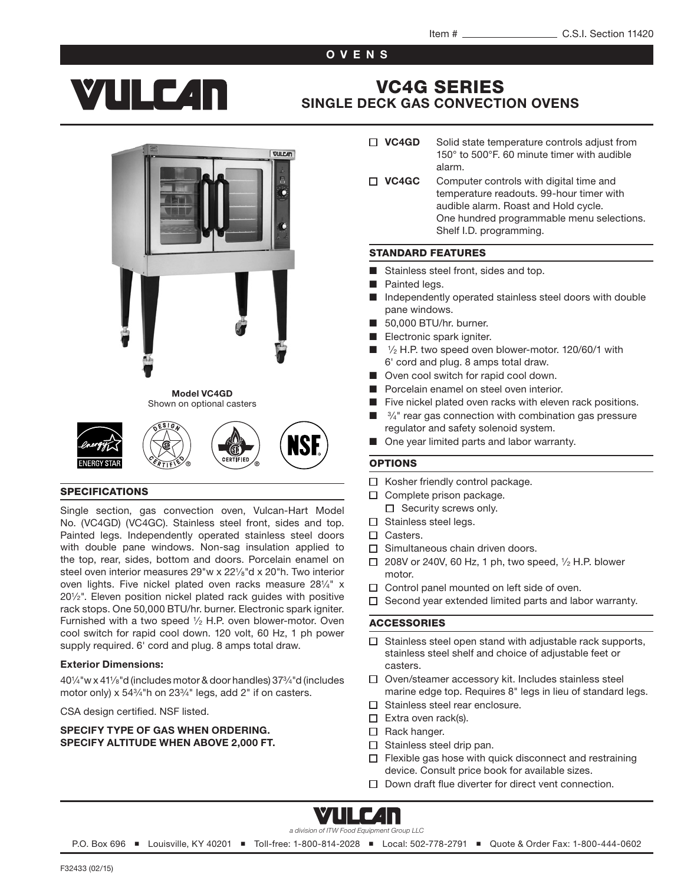### OVENS

# **YIILE 4n**

# VC4G SERIES [SINGLE DECK GAS CONVECTION OVENS](http://vulcanequipment.com/Products/VC-Series-Gas-Convection-Ovens/)



#### SPECIFICATIONS

Single section, gas convection oven, Vulcan-Hart Model No. (VC4GD) (VC4GC). Stainless steel front, sides and top. Painted legs. Independently operated stainless steel doors with double pane windows. Non-sag insulation applied to the top, rear, sides, bottom and doors. Porcelain enamel on steel oven interior measures 29"w x 221/<sub>8</sub>"d x 20"h. Two interior oven lights. Five nickel plated oven racks measure 281⁄4" x 201⁄2". Eleven position nickel plated rack guides with positive rack stops. One 50,000 BTU/hr. burner. Electronic spark igniter. Furnished with a two speed  $\frac{1}{2}$  H.P. oven blower-motor. Oven cool switch for rapid cool down. 120 volt, 60 Hz, 1 ph power supply required. 6' cord and plug. 8 amps total draw.

#### Exterior Dimensions:

401⁄4"w x 411⁄8"d (includes motor & door handles) 373⁄4"d (includes motor only) x 543⁄4"h on 233⁄4" legs, add 2" if on casters.

CSA design certified. NSF listed.

#### SPECIFY TYPE OF GAS WHEN ORDERING. SPECIFY ALTITUDE WHEN ABOVE 2,000 FT.

- $\Box$  VC4GD Solid state temperature controls adjust from 150° to 500°F. 60 minute timer with audible alarm.
- $\Box$  VC4GC Computer controls with digital time and temperature readouts. 99-hour timer with audible alarm. Roast and Hold cycle. One hundred programmable menu selections. Shelf I.D. programming.

#### STANDARD FEATURES

- Stainless steel front, sides and top.
- Painted legs.
- Independently operated stainless steel doors with double pane windows.
- 50,000 BTU/hr. burner.
- Electronic spark igniter.
- <sup>1</sup>/<sub>2</sub> H.P. two speed oven blower-motor. 120/60/1 with 6' cord and plug. 8 amps total draw.
- Oven cool switch for rapid cool down.
- Porcelain enamel on steel oven interior.
- Five nickel plated oven racks with eleven rack positions.
- $\frac{3}{4}$ " rear gas connection with combination gas pressure regulator and safety solenoid system.
- One year limited parts and labor warranty.

#### OPTIONS

- $\Box$  Kosher friendly control package.
- $\Box$  Complete prison package.
	- $\Box$  Security screws only.
- $\square$  Stainless steel legs. □ Casters.
- 
- $\Box$  Simultaneous chain driven doors.
- $\Box$  208V or 240V, 60 Hz, 1 ph, two speed,  $\frac{1}{2}$  H.P. blower motor.
- $\Box$  Control panel mounted on left side of oven.
- $\Box$  Second year extended limited parts and labor warranty.

#### ACCESSORIES

- $\Box$  Stainless steel open stand with adjustable rack supports, stainless steel shelf and choice of adjustable feet or casters.
- □ Oven/steamer accessory kit. Includes stainless steel marine edge top. Requires 8" legs in lieu of standard legs.
- $\Box$  Stainless steel rear enclosure.
- $\Box$  Extra oven rack(s).
- $\Box$  Rack hanger.
- $\Box$  Stainless steel drip pan.
- $\Box$  Flexible gas hose with quick disconnect and restraining device. Consult price book for available sizes.
- $\Box$  Down draft flue diverter for direct vent connection.